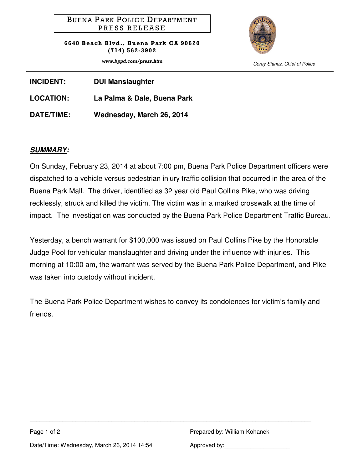## BUENA PARK POLICE DEPARTMENT PRESS RELEASE

6640 Beach Blvd., Buena Park CA 90620 (714) 562-3902



www.bppd.com/press.htm Corey Sianez, Chief of Police

| <b>INCIDENT:</b>  | <b>DUI Manslaughter</b>     |
|-------------------|-----------------------------|
| <b>LOCATION:</b>  | La Palma & Dale, Buena Park |
| <b>DATE/TIME:</b> | Wednesday, March 26, 2014   |

## **SUMMARY:**

On Sunday, February 23, 2014 at about 7:00 pm, Buena Park Police Department officers were dispatched to a vehicle versus pedestrian injury traffic collision that occurred in the area of the Buena Park Mall. The driver, identified as 32 year old Paul Collins Pike, who was driving recklessly, struck and killed the victim. The victim was in a marked crosswalk at the time of impact. The investigation was conducted by the Buena Park Police Department Traffic Bureau.

Yesterday, a bench warrant for \$100,000 was issued on Paul Collins Pike by the Honorable Judge Pool for vehicular manslaughter and driving under the influence with injuries. This morning at 10:00 am, the warrant was served by the Buena Park Police Department, and Pike was taken into custody without incident.

The Buena Park Police Department wishes to convey its condolences for victim's family and friends.

\_\_\_\_\_\_\_\_\_\_\_\_\_\_\_\_\_\_\_\_\_\_\_\_\_\_\_\_\_\_\_\_\_\_\_\_\_\_\_\_\_\_\_\_\_\_\_\_\_\_\_\_\_\_\_\_\_\_\_\_\_\_\_\_\_\_\_\_\_\_\_\_\_\_\_\_\_\_\_\_\_\_\_\_\_\_

Page 1 of 2 **Prepared by: William Kohanek** Prepared by: William Kohanek

Date/Time: Wednesday, March 26, 2014 14:54 Approved by: